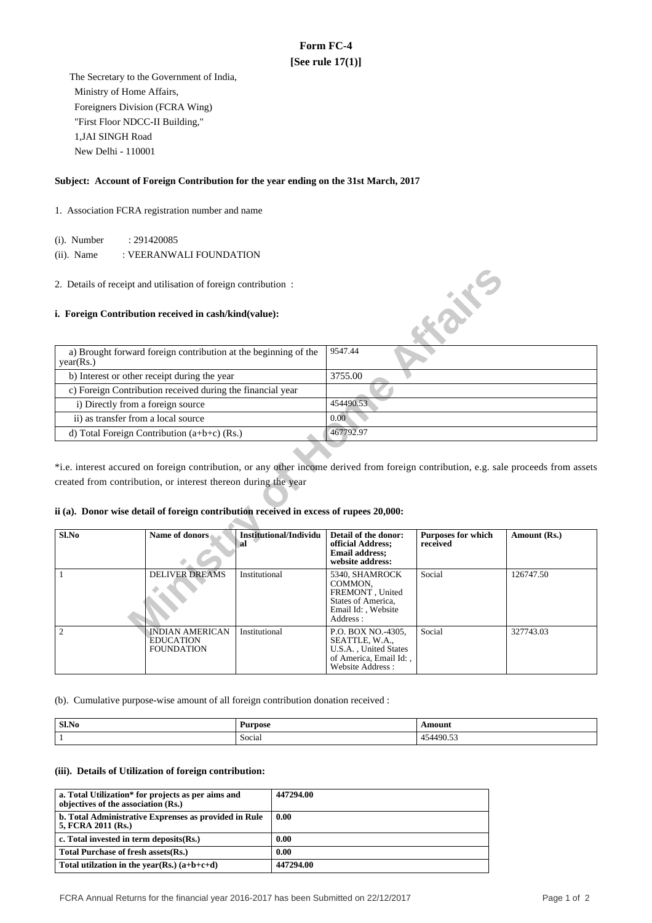# **Form FC-4 [See rule 17(1)]**

 The Secretary to the Government of India, Ministry of Home Affairs, Foreigners Division (FCRA Wing) "First Floor NDCC-II Building," 1,JAI SINGH Road New Delhi - 110001

# **Subject: Account of Foreign Contribution for the year ending on the 31st March, 2017**

# 1. Association FCRA registration number and name

(i). Number : 291420085

(ii). Name : VEERANWALI FOUNDATION

## **i. Foreign Contribution received in cash/kind(value):**

| a) Brought forward foreign contribution at the beginning of the<br>year(Rs.) | 9547.44   |
|------------------------------------------------------------------------------|-----------|
| b) Interest or other receipt during the year                                 | 3755.00   |
| c) Foreign Contribution received during the financial year                   |           |
| i) Directly from a foreign source                                            | 454490.53 |
| ii) as transfer from a local source                                          | 0.00      |
| d) Total Foreign Contribution $(a+b+c)$ (Rs.)                                | 467792.97 |

# **ii (a). Donor wise detail of foreign contribution received in excess of rupees 20,000:**

| 2. Details of receipt and utilisation of foreign contribution:<br>i. Foreign Contribution received in cash/kind(value): |                                                                                                                                                          |                                     |                                                                                                             | <b>ANYE</b>                           |                                                                                                                                       |
|-------------------------------------------------------------------------------------------------------------------------|----------------------------------------------------------------------------------------------------------------------------------------------------------|-------------------------------------|-------------------------------------------------------------------------------------------------------------|---------------------------------------|---------------------------------------------------------------------------------------------------------------------------------------|
|                                                                                                                         |                                                                                                                                                          |                                     |                                                                                                             |                                       |                                                                                                                                       |
| a) Brought forward foreign contribution at the beginning of the<br>year(Rs.)                                            |                                                                                                                                                          | 9547.44                             |                                                                                                             |                                       |                                                                                                                                       |
|                                                                                                                         | b) Interest or other receipt during the year                                                                                                             |                                     | 3755.00                                                                                                     |                                       |                                                                                                                                       |
|                                                                                                                         | c) Foreign Contribution received during the financial year                                                                                               |                                     |                                                                                                             |                                       |                                                                                                                                       |
| i) Directly from a foreign source                                                                                       |                                                                                                                                                          |                                     | 454490.53                                                                                                   |                                       |                                                                                                                                       |
| ii) as transfer from a local source                                                                                     |                                                                                                                                                          |                                     | 0.00                                                                                                        |                                       |                                                                                                                                       |
| d) Total Foreign Contribution $(a+b+c)$ (Rs.)                                                                           |                                                                                                                                                          |                                     | 467792.97                                                                                                   |                                       |                                                                                                                                       |
|                                                                                                                         | created from contribution, or interest thereon during the year<br>ii (a). Donor wise detail of foreign contribution received in excess of rupees 20,000: |                                     |                                                                                                             |                                       | *i.e. interest accured on foreign contribution, or any other income derived from foreign contribution, e.g. sale proceeds from assets |
| Sl.No                                                                                                                   | Name of donors                                                                                                                                           | <b>Institutional/Individu</b><br>al | Detail of the donor:<br>official Address;<br><b>Email address:</b><br>website address:                      | <b>Purposes for which</b><br>received | Amount (Rs.)                                                                                                                          |
| 1                                                                                                                       | <b>DELIVER DREAMS</b>                                                                                                                                    | Institutional                       | 5340, SHAMROCK<br>COMMON,<br>FREMONT, United<br>States of America,<br>Email Id:, Website<br>Address:        | Social                                | 126747.50                                                                                                                             |
| $\overline{2}$                                                                                                          | <b>INDIAN AMERICAN</b><br><b>EDUCATION</b><br><b>FOUNDATION</b>                                                                                          | Institutional                       | P.O. BOX NO.-4305,<br>SEATTLE, W.A.,<br>U.S.A., United States<br>of America, Email Id:,<br>Website Address: | Social                                | 327743.03                                                                                                                             |

(b). Cumulative purpose-wise amount of all foreign contribution donation received :

| Sl.No | Purpose          | Amount<br>$\frac{1}{2} \left( \frac{1}{2} \right) \left( \frac{1}{2} \right) \left( \frac{1}{2} \right) \left( \frac{1}{2} \right) \left( \frac{1}{2} \right) \left( \frac{1}{2} \right) \left( \frac{1}{2} \right) \left( \frac{1}{2} \right) \left( \frac{1}{2} \right) \left( \frac{1}{2} \right) \left( \frac{1}{2} \right) \left( \frac{1}{2} \right) \left( \frac{1}{2} \right) \left( \frac{1}{2} \right) \left( \frac{1}{2} \right) \left( \frac{1}{2} \right) \left( \frac$ |
|-------|------------------|--------------------------------------------------------------------------------------------------------------------------------------------------------------------------------------------------------------------------------------------------------------------------------------------------------------------------------------------------------------------------------------------------------------------------------------------------------------------------------------|
|       | $\sim$<br>Social | .<br>454490.53                                                                                                                                                                                                                                                                                                                                                                                                                                                                       |

# **(iii). Details of Utilization of foreign contribution:**

| a. Total Utilization* for projects as per aims and<br>objectives of the association (Rs.) | 447294.00 |
|-------------------------------------------------------------------------------------------|-----------|
| b. Total Administrative Exprenses as provided in Rule<br>5, FCRA 2011 (Rs.)               | 0.00      |
| c. Total invested in term deposits (Rs.)                                                  | 0.00      |
| Total Purchase of fresh assets (Rs.)                                                      | 0.00      |
| Total utilization in the year(Rs.) $(a+b+c+d)$                                            | 447294.00 |